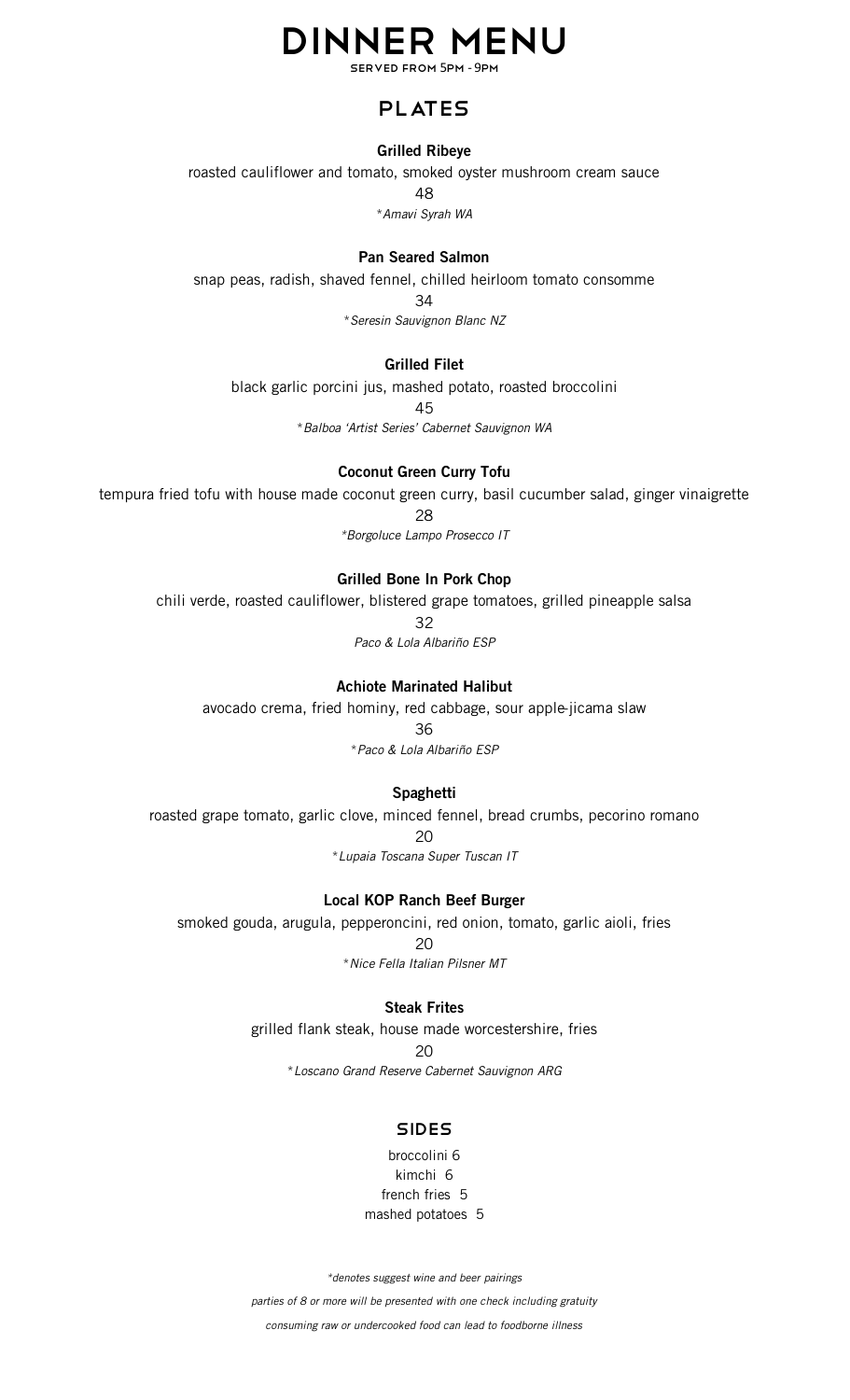# Dinner Menu

SERVED FROM 5PM - 9PM

## PLATES

#### **Grilled Ribeye**

roasted cauliflower and tomato, smoked oyster mushroom cream sauce 48

\**Amavi Syrah WA*

#### **Pan Seared Salmon**

snap peas, radish, shaved fennel, chilled heirloom tomato consomme

34

\**Seresin Sauvignon Blanc NZ*

#### **Grilled Filet**

black garlic porcini jus, mashed potato, roasted broccolini

45

\**Balboa 'Artist Series' Cabernet Sauvignon WA*

#### **Coconut Green Curry Tofu**

tempura fried tofu with house made coconut green curry, basil cucumber salad, ginger vinaigrette

28

*\*Borgoluce Lampo Prosecco IT*

#### **Grilled Bone In Pork Chop**

chili verde, roasted cauliflower, blistered grape tomatoes, grilled pineapple salsa

32

*Paco & Lola Albariño ESP*

#### **Achiote Marinated Halibut**

avocado crema, fried hominy, red cabbage, sour apple-jicama slaw

36

\**Paco & Lola Albariño ESP*

#### **Spaghetti**

roasted grape tomato, garlic clove, minced fennel, bread crumbs, pecorino romano  $20$ \**Lupaia Toscana Super Tuscan IT*

#### **Local KOP Ranch Beef Burger**

smoked gouda, arugula, pepperoncini, red onion, tomato, garlic aioli, fries 20

\**Nice Fella Italian Pilsner MT*

#### **Steak Frites**

grilled flank steak, house made worcestershire, fries

20

\**Loscano Grand Reserve Cabernet Sauvignon ARG*

#### **SIDES**

broccolini 6 kimchi 6 french fries 5 mashed potatoes 5

*\*denotes suggest wine and beer pairings*

*parties of 8 or more will be presented with one check including gratuity*

*consuming raw or undercooked food can lead to foodborne illness*